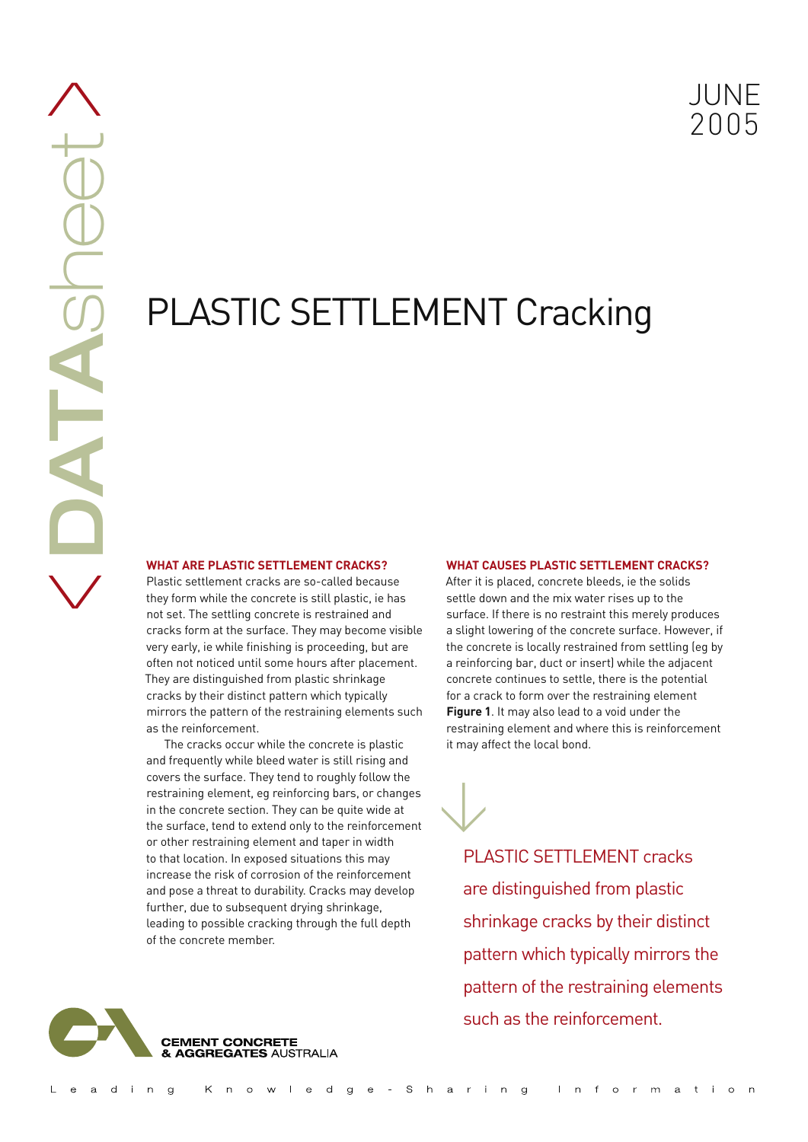# PLASTIC SETTLEMENT Cracking

## **WHAT ARE PLASTIC SETTLEMENT CRACKS?**

**DATA**sheet

AIA

Shee

 $\bigwedge$ 

 $\bigvee$ 

Plastic settlement cracks are so-called because they form while the concrete is still plastic, ie has not set. The settling concrete is restrained and cracks form at the surface. They may become visible very early, ie while finishing is proceeding, but are often not noticed until some hours after placement. They are distinguished from plastic shrinkage cracks by their distinct pattern which typically mirrors the pattern of the restraining elements such as the reinforcement.

The cracks occur while the concrete is plastic and frequently while bleed water is still rising and covers the surface. They tend to roughly follow the restraining element, eg reinforcing bars, or changes in the concrete section. They can be quite wide at the surface, tend to extend only to the reinforcement or other restraining element and taper in width to that location. In exposed situations this may increase the risk of corrosion of the reinforcement and pose a threat to durability. Cracks may develop further, due to subsequent drying shrinkage, leading to possible cracking through the full depth of the concrete member.

## **WHAT CAUSES PLASTIC SETTLEMENT CRACKS?**

After it is placed, concrete bleeds, ie the solids settle down and the mix water rises up to the surface. If there is no restraint this merely produces a slight lowering of the concrete surface. However, if the concrete is locally restrained from settling (eg by a reinforcing bar, duct or insert) while the adjacent concrete continues to settle, there is the potential for a crack to form over the restraining element **Figure 1**. It may also lead to a void under the restraining element and where this is reinforcement it may affect the local bond.

PLASTIC SETTLEMENT cracks are distinguished from plastic shrinkage cracks by their distinct pattern which typically mirrors the pattern of the restraining elements such as the reinforcement.



 $\bigvee$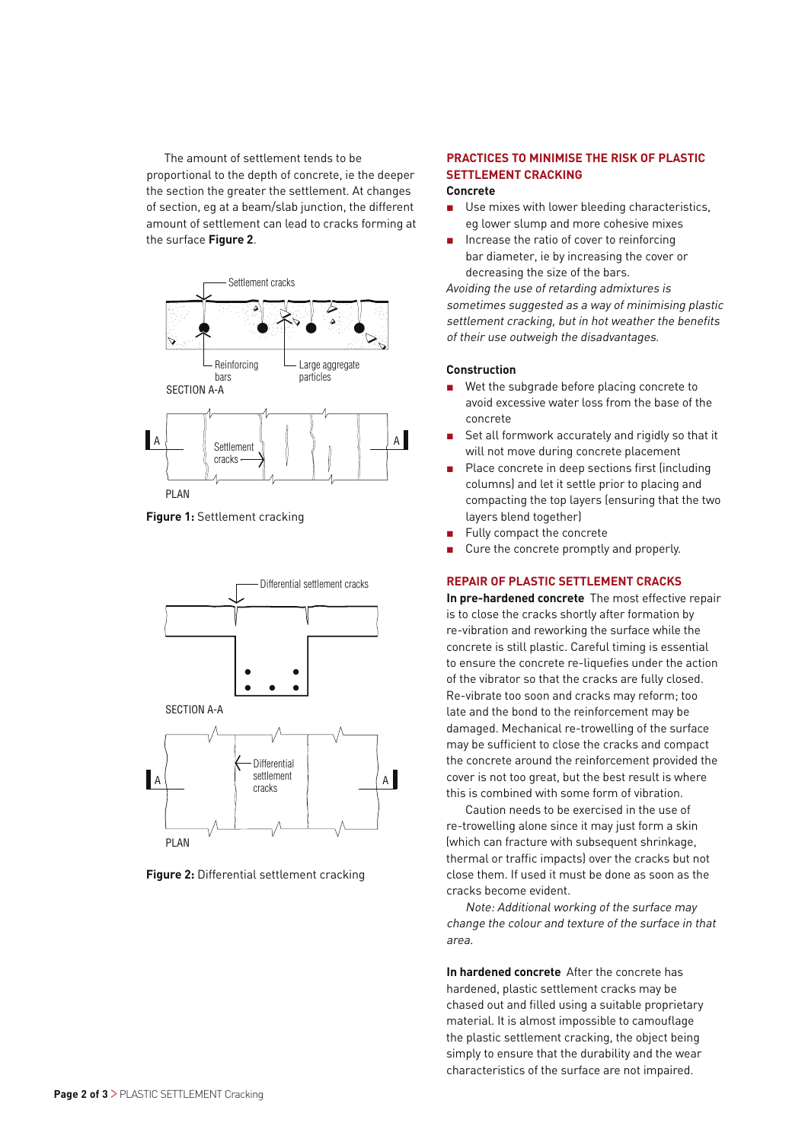The amount of settlement tends to be proportional to the depth of concrete, ie the deeper the section the greater the settlement. At changes of section, eg at a beam/slab junction, the different amount of settlement can lead to cracks forming at the surface **Figure 2**.



**Figure 1:** Settlement cracking





## **PRACTICES TO MINIMISE THE RISK OF PLASTIC SETTI EMENT CRACKING**

## **Concrete**

- $\blacksquare$  Use mixes with lower bleeding characteristics, eg lower slump and more cohesive mixes
- Increase the ratio of cover to reinforcing bar diameter, ie by increasing the cover or decreasing the size of the bars.

Avoiding the use of retarding admixtures is sometimes suggested as a way of minimising plastic settlement cracking, but in hot weather the benefits of their use outweigh the disadvantages.

## **Construction**

- Wet the subgrade before placing concrete to avoid excessive water loss from the base of the concrete
- Set all formwork accurately and rigidly so that it will not move during concrete placement
- Place concrete in deep sections first (including columns) and let it settle prior to placing and compacting the top layers (ensuring that the two layers blend together)
- Fully compact the concrete
- Cure the concrete promptly and properly.

## **REPAIR OF PLASTIC SETTLEMENT CRACKS**

**In pre-hardened concrete** The most effective repair is to close the cracks shortly after formation by re-vibration and reworking the surface while the concrete is still plastic. Careful timing is essential to ensure the concrete re-liquefies under the action of the vibrator so that the cracks are fully closed. Re-vibrate too soon and cracks may reform; too late and the bond to the reinforcement may be damaged. Mechanical re-trowelling of the surface may be sufficient to close the cracks and compact the concrete around the reinforcement provided the cover is not too great, but the best result is where this is combined with some form of vibration.

Caution needs to be exercised in the use of re-trowelling alone since it may just form a skin (which can fracture with subsequent shrinkage, thermal or traffic impacts) over the cracks but not close them. If used it must be done as soon as the cracks become evident.

Note: Additional working of the surface may change the colour and texture of the surface in that area.

**In hardened concrete** After the concrete has hardened, plastic settlement cracks may be chased out and filled using a suitable proprietary material. It is almost impossible to camouflage the plastic settlement cracking, the object being simply to ensure that the durability and the wear characteristics of the surface are not impaired.